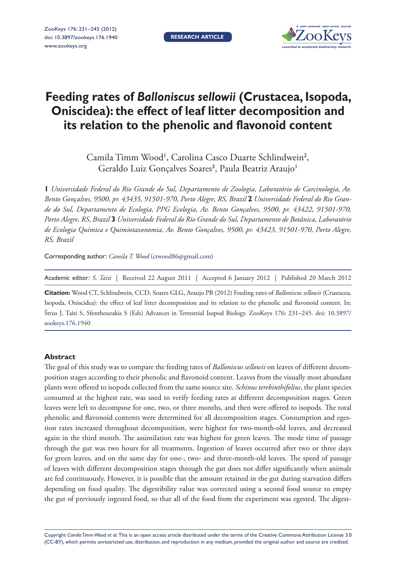

# **Feeding rates of** *Balloniscus sellowii* **(Crustacea, Isopoda, Oniscidea): the effect of leaf litter decomposition and its relation to the phenolic and flavonoid content**

Camila Timm Wood<sup>1</sup>, Carolina Casco Duarte Schlindwein<sup>2</sup>, Geraldo Luiz Gonçalves Soares<sup>3</sup>, Paula Beatriz Araujo<sup>1</sup>

**1** *Universidade Federal do Rio Grande do Sul, Departamento de Zoologia, Laboratório de Carcinologia, Av. Bento Gonçalves, 9500, pr. 43435, 91501-970, Porto Alegre, RS, Brazil* **2** *Universidade Federal do Rio Grande do Sul, Departamento de Ecologia, PPG Ecologia, Av. Bento Gonçalves, 9500, pr. 43422, 91501-970, Porto Alegre, RS, Brazil* **3** *Universidade Federal do Rio Grande do Sul, Departamento de Botânica, Laboratório de Ecologia Química e Quimiotaxonomia, Av. Bento Gonçalves, 9500, pr. 43423, 91501-970, Porto Alegre, RS, Brazil*

Corresponding author: *Camila T. Wood* ([ctwood86@gmail.com](mailto:ctwood86@gmail.com))

|  | Academic editor: S. Taiti   Received 22 August 2011   Accepted 6 January 2012   Published 20 March 2012 |  |  |
|--|---------------------------------------------------------------------------------------------------------|--|--|
|--|---------------------------------------------------------------------------------------------------------|--|--|

**Citation:** Wood CT, Schlindwein, CCD, Soares GLG, Araujo PB (2012) Feeding rates of *Balloniscus sellowii* (Crustacea, Isopoda, Oniscidea): the effect of leaf litter decomposition and its relation to the phenolic and flavonoid content. In: Štrus J, Taiti S, Sfenthourakis S (Eds) Advances in Terrestrial Isopod Biology. ZooKeys 176: 231–245. [doi: 10.3897/](http://dx.doi.org/10.3897/zookeys.176.1940) [zookeys.176.1940](http://dx.doi.org/10.3897/zookeys.176.1940)

## **Abstract**

The goal of this study was to compare the feeding rates of *Balloniscus sellowii* on leaves of different decomposition stages according to their phenolic and flavonoid content. Leaves from the visually most abundant plants were offered to isopods collected from the same source site. *Schinus terebinthifolius*, the plant species consumed at the highest rate, was used to verify feeding rates at different decomposition stages. Green leaves were left to decompose for one, two, or three months, and then were offered to isopods. The total phenolic and flavonoid contents were determined for all decomposition stages. Consumption and egestion rates increased throughout decomposition, were highest for two-month-old leaves, and decreased again in the third month. The assimilation rate was highest for green leaves. The mode time of passage through the gut was two hours for all treatments. Ingestion of leaves occurred after two or three days for green leaves, and on the same day for one-, two- and three-month-old leaves. The speed of passage of leaves with different decomposition stages through the gut does not differ significantly when animals are fed continuously. However, it is possible that the amount retained in the gut during starvation differs depending on food quality. The digestibility value was corrected using a second food source to empty the gut of previously ingested food, so that all of the food from the experiment was egested. The digest-

Copyright *Camila Timm Wood et al.* This is an open access article distributed under the terms of the [Creative Commons Attribution License 3.0](http://creativecommons.org/licenses/by/3.0/)  [\(CC-BY\),](http://creativecommons.org/licenses/by/3.0/) which permits unrestricted use, distribution, and reproduction in any medium, provided the original author and source are credited.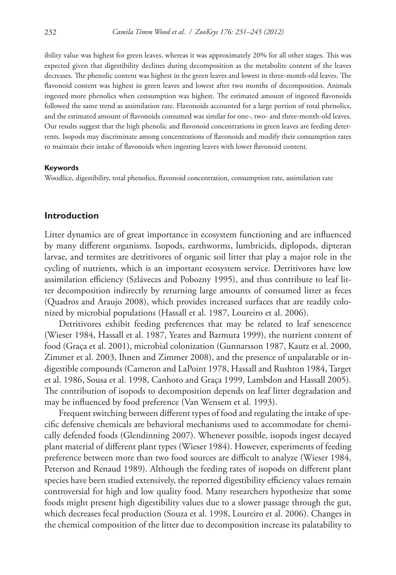ibility value was highest for green leaves, whereas it was approximately 20% for all other stages. This was expected given that digestibility declines during decomposition as the metabolite content of the leaves decreases. The phenolic content was highest in the green leaves and lowest in three-month-old leaves. The flavonoid content was highest in green leaves and lowest after two months of decomposition. Animals ingested more phenolics when consumption was highest. The estimated amount of ingested flavonoids followed the same trend as assimilation rate. Flavonoids accounted for a large portion of total phenolics, and the estimated amount of flavonoids consumed was similar for one-, two- and three-month-old leaves. Our results suggest that the high phenolic and flavonoid concentrations in green leaves are feeding deterrents. Isopods may discriminate among concentrations of flavonoids and modify their consumption rates to maintain their intake of flavonoids when ingesting leaves with lower flavonoid content.

#### **Keywords**

Woodlice, digestibility, total phenolics, flavonoid concentration, consumption rate, assimilation rate

## **Introduction**

Litter dynamics are of great importance in ecosystem functioning and are influenced by many different organisms. Isopods, earthworms, lumbricids, diplopods, dipteran larvae, and termites are detritivores of organic soil litter that play a major role in the cycling of nutrients, which is an important ecosystem service. Detritivores have low assimilation efficiency (Szláveczs and Pobozny 1995), and thus contribute to leaf litter decomposition indirectly by returning large amounts of consumed litter as feces (Quadros and Araujo 2008), which provides increased surfaces that are readily colonized by microbial populations (Hassall et al. 1987, Loureiro et al. 2006).

Detritivores exhibit feeding preferences that may be related to leaf senescence (Wieser 1984, Hassall et al. 1987, Yeates and Barmuta 1999), the nutrient content of food (Graça et al. 2001), microbial colonization (Gunnarsson 1987, Kautz et al. 2000, Zimmer et al. 2003, Ihnen and Zimmer 2008), and the presence of unpalatable or indigestible compounds (Cameron and LaPoint 1978, Hassall and Rushton 1984, Target et al. 1986, Sousa et al. 1998, Canhoto and Graça 1999, Lambdon and Hassall 2005). The contribution of isopods to decomposition depends on leaf litter degradation and may be influenced by food preference (Van Wensem et al. 1993).

Frequent switching between different types of food and regulating the intake of specific defensive chemicals are behavioral mechanisms used to accommodate for chemically defended foods (Glendinning 2007). Whenever possible, isopods ingest decayed plant material of different plant types (Wieser 1984). However, experiments of feeding preference between more than two food sources are difficult to analyze (Wieser 1984, Peterson and Renaud 1989). Although the feeding rates of isopods on different plant species have been studied extensively, the reported digestibility efficiency values remain controversial for high and low quality food. Many researchers hypothesize that some foods might present high digestibility values due to a slower passage through the gut, which decreases fecal production (Souza et al. 1998, Loureiro et al. 2006). Changes in the chemical composition of the litter due to decomposition increase its palatability to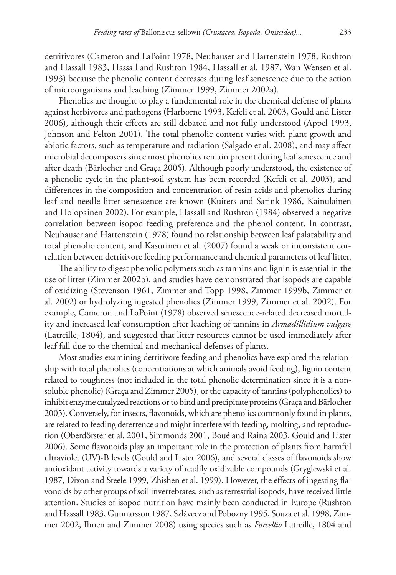detritivores (Cameron and LaPoint 1978, Neuhauser and Hartenstein 1978, Rushton and Hassall 1983, Hassall and Rushton 1984, Hassall et al. 1987, Wan Wensen et al. 1993) because the phenolic content decreases during leaf senescence due to the action of microorganisms and leaching (Zimmer 1999, Zimmer 2002a).

Phenolics are thought to play a fundamental role in the chemical defense of plants against herbivores and pathogens (Harborne 1993, Kefeli et al. 2003, Gould and Lister 2006), although their effects are still debated and not fully understood (Appel 1993, Johnson and Felton 2001). The total phenolic content varies with plant growth and abiotic factors, such as temperature and radiation (Salgado et al. 2008), and may affect microbial decomposers since most phenolics remain present during leaf senescence and after death (Bärlocher and Graça 2005). Although poorly understood, the existence of a phenolic cycle in the plant-soil system has been recorded (Kefeli et al. 2003), and differences in the composition and concentration of resin acids and phenolics during leaf and needle litter senescence are known (Kuiters and Sarink 1986, Kainulainen and Holopainen 2002). For example, Hassall and Rushton (1984) observed a negative correlation between isopod feeding preference and the phenol content. In contrast, Neuhauser and Hartenstein (1978) found no relationship between leaf palatability and total phenolic content, and Kasurinen et al. (2007) found a weak or inconsistent correlation between detritivore feeding performance and chemical parameters of leaf litter.

The ability to digest phenolic polymers such as tannins and lignin is essential in the use of litter (Zimmer 2002b), and studies have demonstrated that isopods are capable of oxidizing (Stevenson 1961, Zimmer and Topp 1998, Zimmer 1999b, Zimmer et al. 2002) or hydrolyzing ingested phenolics (Zimmer 1999, Zimmer et al. 2002). For example, Cameron and LaPoint (1978) observed senescence-related decreased mortality and increased leaf consumption after leaching of tannins in *Armadillidium vulgare* (Latreille, 1804), and suggested that litter resources cannot be used immediately after leaf fall due to the chemical and mechanical defenses of plants.

Most studies examining detritivore feeding and phenolics have explored the relationship with total phenolics (concentrations at which animals avoid feeding), lignin content related to toughness (not included in the total phenolic determination since it is a nonsoluble phenolic) (Graça and Zimmer 2005), or the capacity of tannins (polyphenolics) to inhibit enzyme catalyzed reactions or to bind and precipitate proteins (Graça and Bärlocher 2005).Conversely, for insects, flavonoids, which are phenolics commonly found in plants, are related to feeding deterrence and might interfere with feeding, molting, and reproduction (Oberdörster et al. 2001, Simmonds 2001, Boué and Raina 2003, Gould and Lister 2006). Some flavonoids play an important role in the protection of plants from harmful ultraviolet (UV)-B levels (Gould and Lister 2006), and several classes of flavonoids show antioxidant activity towards a variety of readily oxidizable compounds (Gryglewski et al. 1987, Dixon and Steele 1999, Zhishen et al. 1999). However, the effects of ingesting flavonoids by other groups of soil invertebrates, such as terrestrial isopods, have received little attention. Studies of isopod nutrition have mainly been conducted in Europe (Rushton and Hassall 1983, Gunnarsson 1987, Szlávecz and Pobozny 1995, Souza et al. 1998, Zimmer 2002, Ihnen and Zimmer 2008) using species such as *Porcellio* Latreille, 1804 and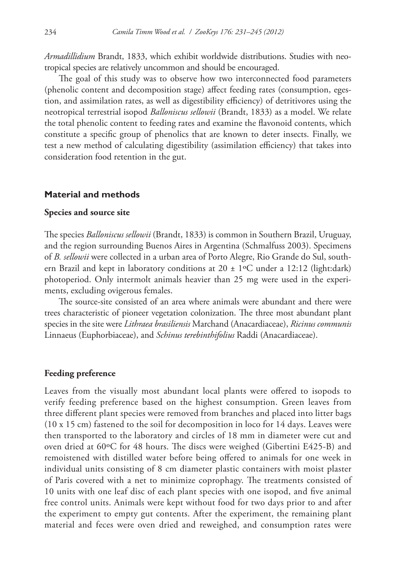*Armadillidium* Brandt, 1833, which exhibit worldwide distributions. Studies with neotropical species are relatively uncommon and should be encouraged.

The goal of this study was to observe how two interconnected food parameters (phenolic content and decomposition stage) affect feeding rates (consumption, egestion, and assimilation rates, as well as digestibility efficiency) of detritivores using the neotropical terrestrial isopod *Balloniscus sellowii* (Brandt, 1833) as a model. We relate the total phenolic content to feeding rates and examine the flavonoid contents, which constitute a specific group of phenolics that are known to deter insects. Finally, we test a new method of calculating digestibility (assimilation efficiency) that takes into consideration food retention in the gut.

# **Material and methods**

## **Species and source site**

The species *Balloniscus sellowii* (Brandt, 1833) is common in Southern Brazil, Uruguay, and the region surrounding Buenos Aires in Argentina (Schmalfuss 2003). Specimens of *B. sellowii* were collected in a urban area of Porto Alegre, Rio Grande do Sul, southern Brazil and kept in laboratory conditions at  $20 \pm 1$ <sup>o</sup>C under a 12:12 (light:dark) photoperiod. Only intermolt animals heavier than 25 mg were used in the experiments, excluding ovigerous females.

The source-site consisted of an area where animals were abundant and there were trees characteristic of pioneer vegetation colonization. The three most abundant plant species in the site were *Lithraea brasiliensis* Marchand (Anacardiaceae), *Ricinus communis* Linnaeus (Euphorbiaceae), and *Schinus terebinthifolius* Raddi (Anacardiaceae).

## **Feeding preference**

Leaves from the visually most abundant local plants were offered to isopods to verify feeding preference based on the highest consumption. Green leaves from three different plant species were removed from branches and placed into litter bags (10 x 15 cm) fastened to the soil for decomposition in loco for 14 days. Leaves were then transported to the laboratory and circles of 18 mm in diameter were cut and oven dried at 60ºC for 48 hours. The discs were weighed (Gibertini E425-B) and remoistened with distilled water before being offered to animals for one week in individual units consisting of 8 cm diameter plastic containers with moist plaster of Paris covered with a net to minimize coprophagy. The treatments consisted of 10 units with one leaf disc of each plant species with one isopod, and five animal free control units. Animals were kept without food for two days prior to and after the experiment to empty gut contents. After the experiment, the remaining plant material and feces were oven dried and reweighed, and consumption rates were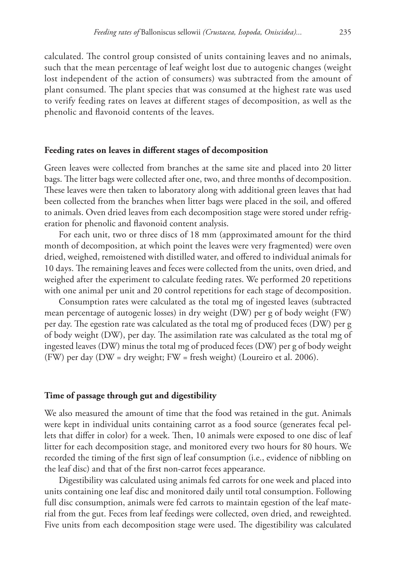calculated. The control group consisted of units containing leaves and no animals, such that the mean percentage of leaf weight lost due to autogenic changes (weight lost independent of the action of consumers) was subtracted from the amount of plant consumed. The plant species that was consumed at the highest rate was used to verify feeding rates on leaves at different stages of decomposition, as well as the phenolic and flavonoid contents of the leaves.

## **Feeding rates on leaves in different stages of decomposition**

Green leaves were collected from branches at the same site and placed into 20 litter bags. The litter bags were collected after one, two, and three months of decomposition. These leaves were then taken to laboratory along with additional green leaves that had been collected from the branches when litter bags were placed in the soil, and offered to animals. Oven dried leaves from each decomposition stage were stored under refrigeration for phenolic and flavonoid content analysis.

For each unit, two or three discs of 18 mm (approximated amount for the third month of decomposition, at which point the leaves were very fragmented) were oven dried, weighed, remoistened with distilled water, and offered to individual animals for 10 days. The remaining leaves and feces were collected from the units, oven dried, and weighed after the experiment to calculate feeding rates. We performed 20 repetitions with one animal per unit and 20 control repetitions for each stage of decomposition.

Consumption rates were calculated as the total mg of ingested leaves (subtracted mean percentage of autogenic losses) in dry weight (DW) per g of body weight (FW) per day. The egestion rate was calculated as the total mg of produced feces (DW) per g of body weight (DW), per day. The assimilation rate was calculated as the total mg of ingested leaves (DW) minus the total mg of produced feces (DW) per g of body weight (FW) per day (DW = dry weight; FW = fresh weight) (Loureiro et al. 2006).

## **Time of passage through gut and digestibility**

We also measured the amount of time that the food was retained in the gut. Animals were kept in individual units containing carrot as a food source (generates fecal pellets that differ in color) for a week. Then, 10 animals were exposed to one disc of leaf litter for each decomposition stage, and monitored every two hours for 80 hours. We recorded the timing of the first sign of leaf consumption (i.e., evidence of nibbling on the leaf disc) and that of the first non-carrot feces appearance.

Digestibility was calculated using animals fed carrots for one week and placed into units containing one leaf disc and monitored daily until total consumption. Following full disc consumption, animals were fed carrots to maintain egestion of the leaf material from the gut. Feces from leaf feedings were collected, oven dried, and reweighted. Five units from each decomposition stage were used. The digestibility was calculated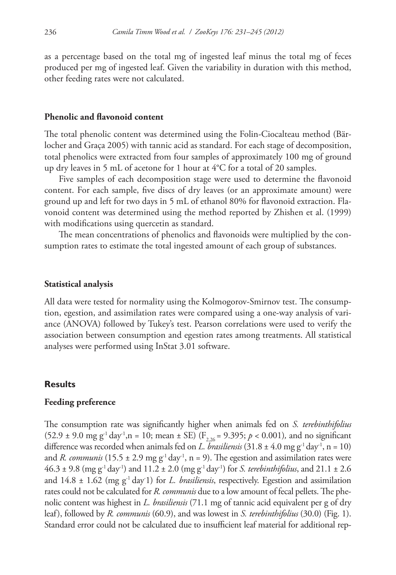as a percentage based on the total mg of ingested leaf minus the total mg of feces produced per mg of ingested leaf. Given the variability in duration with this method, other feeding rates were not calculated.

## **Phenolic and flavonoid content**

The total phenolic content was determined using the Folin-Ciocalteau method (Bärlocher and Graça 2005) with tannic acid as standard. For each stage of decomposition, total phenolics were extracted from four samples of approximately 100 mg of ground up dry leaves in 5 mL of acetone for 1 hour at 4°C for a total of 20 samples.

Five samples of each decomposition stage were used to determine the flavonoid content. For each sample, five discs of dry leaves (or an approximate amount) were ground up and left for two days in 5 mL of ethanol 80% for flavonoid extraction. Flavonoid content was determined using the method reported by Zhishen et al. (1999) with modifications using quercetin as standard.

The mean concentrations of phenolics and flavonoids were multiplied by the consumption rates to estimate the total ingested amount of each group of substances.

#### **Statistical analysis**

All data were tested for normality using the Kolmogorov-Smirnov test. The consumption, egestion, and assimilation rates were compared using a one-way analysis of variance (ANOVA) followed by Tukey's test. Pearson correlations were used to verify the association between consumption and egestion rates among treatments. All statistical analyses were performed using InStat 3.01 software.

## **Results**

# **Feeding preference**

The consumption rate was significantly higher when animals fed on *S. terebinthifolius*   $(52.9 \pm 9.0 \text{ mg g}^{-1} \text{ day}^{-1}, n = 10; \text{ mean } \pm \text{ SE}$  (F<sub>2,26</sub> = 9.395; *p* < 0.001), and no significant difference was recorded when animals fed on *L. brasiliensis*  $(31.8 \pm 4.0 \text{ mg g}^{-1} \text{day}^1, \text{n} = 10)$ and *R. communis* (15.5  $\pm$  2.9 mg g<sup>-1</sup> day<sup>-1</sup>, n = 9). The egestion and assimilation rates were 46.3 ± 9.8 (mg g-1 day-1) and 11.2 ± 2.0 (mg g-1 day-1) for *S. terebinthifolius*, and 21.1 ± 2.6 and 14.8 ± 1.62 (mg g<sup>-1</sup> day<sup>-1</sup>) for *L. brasiliensis*, respectively. Egestion and assimilation rates could not be calculated for *R. communis* due to a low amount of fecal pellets. The phenolic content was highest in *L. brasiliensis* (71.1 mg of tannic acid equivalent per g of dry leaf), followed by *R. communis* (60.9), and was lowest in *S. terebinthifolius* (30.0) (Fig. 1). Standard error could not be calculated due to insufficient leaf material for additional rep-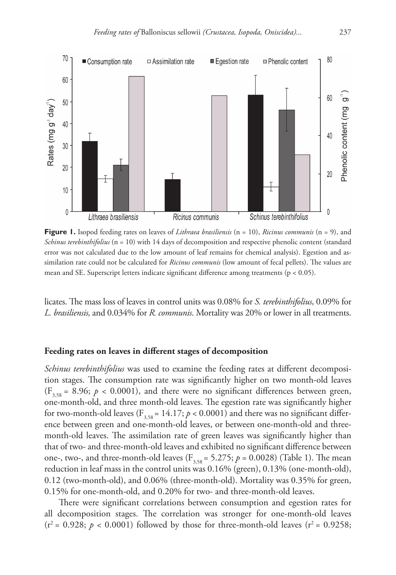

**Figure 1.** Isopod feeding rates on leaves of *Lithraea brasiliensis* (n = 10), *Ricinus communis* (n = 9), and *Schinus terebinthifolius* (n = 10) with 14 days of decomposition and respective phenolic content (standard error was not calculated due to the low amount of leaf remains for chemical analysis). Egestion and assimilation rate could not be calculated for *Ricinus communis* (low amount of fecal pellets). The values are mean and SE. Superscript letters indicate significant difference among treatments ( $p < 0.05$ ).

licates. The mass loss of leaves in control units was 0.08% for *S. terebinthifolius*, 0.09% for *L. brasiliensis,* and 0.034% for *R. communis*. Mortality was 20% or lower in all treatments.

## **Feeding rates on leaves in different stages of decomposition**

*Schinus terebinthifolius* was used to examine the feeding rates at different decomposition stages. The consumption rate was significantly higher on two month-old leaves  $(F<sub>3.58</sub> = 8.96; p < 0.0001)$ , and there were no significant differences between green, one-month-old, and three month-old leaves. The egestion rate was significantly higher for two-month-old leaves ( $F_{3.58}$  = 14.17;  $p < 0.0001$ ) and there was no significant difference between green and one-month-old leaves, or between one-month-old and threemonth-old leaves. The assimilation rate of green leaves was significantly higher than that of two- and three-month-old leaves and exhibited no significant difference between one-, two-, and three-month-old leaves ( $F_{3.58}$  = 5.275;  $p = 0.0028$ ) (Table 1). The mean reduction in leaf mass in the control units was 0.16% (green), 0.13% (one-month-old), 0.12 (two-month-old), and 0.06% (three-month-old). Mortality was 0.35% for green, 0.15% for one-month-old, and 0.20% for two- and three-month-old leaves.

There were significant correlations between consumption and egestion rates for all decomposition stages. The correlation was stronger for one-month-old leaves  $(r^2 = 0.928; p < 0.0001)$  followed by those for three-month-old leaves  $(r^2 = 0.9258;$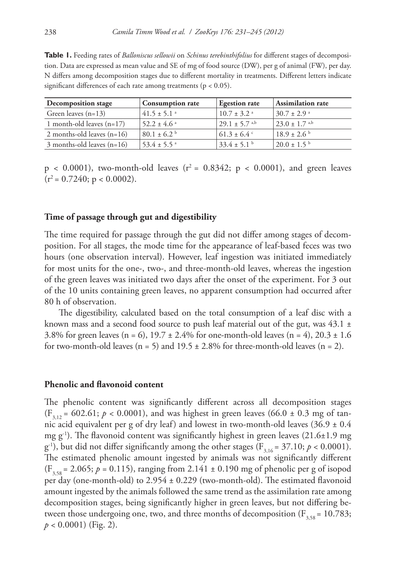**Table 1.** Feeding rates of *Balloniscus sellowii* on *Schinus terebinthifolius* for different stages of decomposition. Data are expressed as mean value and SE of mg of food source (DW), per g of animal (FW), per day. N differs among decomposition stages due to different mortality in treatments. Different letters indicate significant differences of each rate among treatments ( $p < 0.05$ ).

| Decomposition stage          | <b>Consumption rate</b>     | <b>Egestion</b> rate          | <b>Assimilation rate</b>      |
|------------------------------|-----------------------------|-------------------------------|-------------------------------|
| Green leaves $(n=13)$        | $41.5 \pm 5.1$ <sup>a</sup> | $10.7 \pm 3.2$ <sup>a</sup>   | $30.7 \pm 2.9$ <sup>a</sup>   |
| 1 month-old leaves $(n=17)$  | $52.2 \pm 4.6$ <sup>a</sup> | $29.1 \pm 5.7$ <sup>a,b</sup> | $23.0 \pm 1.7$ <sup>a,b</sup> |
| 2 months-old leaves $(n=16)$ | $80.1 \pm 6.2^{\circ}$      | $61.3 \pm 6.4$                | $18.9 \pm 2.6^{\circ}$        |
| 3 months-old leaves $(n=16)$ | $53.4 \pm 5.5$ <sup>a</sup> | $33.4 \pm 5.1^{\circ}$        | $20.0 \pm 1.5^{\mathrm{b}}$   |

 $p \le 0.0001$ , two-month-old leaves ( $r^2 = 0.8342$ ;  $p \le 0.0001$ ), and green leaves  $(r^2 = 0.7240; p < 0.0002)$ .

## **Time of passage through gut and digestibility**

The time required for passage through the gut did not differ among stages of decomposition. For all stages, the mode time for the appearance of leaf-based feces was two hours (one observation interval). However, leaf ingestion was initiated immediately for most units for the one-, two-, and three-month-old leaves, whereas the ingestion of the green leaves was initiated two days after the onset of the experiment. For 3 out of the 10 units containing green leaves, no apparent consumption had occurred after 80 h of observation.

The digestibility, calculated based on the total consumption of a leaf disc with a known mass and a second food source to push leaf material out of the gut, was  $43.1 \pm$ 3.8% for green leaves (n = 6),  $19.7 \pm 2.4\%$  for one-month-old leaves (n = 4),  $20.3 \pm 1.6$ for two-month-old leaves  $(n = 5)$  and  $19.5 \pm 2.8\%$  for three-month-old leaves  $(n = 2)$ .

### **Phenolic and flavonoid content**

The phenolic content was significantly different across all decomposition stages  $(F_{3,12} = 602.61; p < 0.0001)$ , and was highest in green leaves (66.0 ± 0.3 mg of tannic acid equivalent per g of dry leaf) and lowest in two-month-old leaves  $(36.9 \pm 0.4)$ mg  $g^{-1}$ ). The flavonoid content was significantly highest in green leaves (21.6 $\pm$ 1.9 mg  $g^{-1}$ ), but did not differ significantly among the other stages ( $F_{3,16} = 37.10; p < 0.0001$ ). The estimated phenolic amount ingested by animals was not significantly different  $(F_{3.58} = 2.065; p = 0.115)$ , ranging from 2.141 ± 0.190 mg of phenolic per g of isopod per day (one-month-old) to 2.954 ± 0.229 (two-month-old). The estimated flavonoid amount ingested by the animals followed the same trend as the assimilation rate among decomposition stages, being significantly higher in green leaves, but not differing between those undergoing one, two, and three months of decomposition  $(F_{3,58} = 10.783;$  $p < 0.0001$ ) (Fig. 2).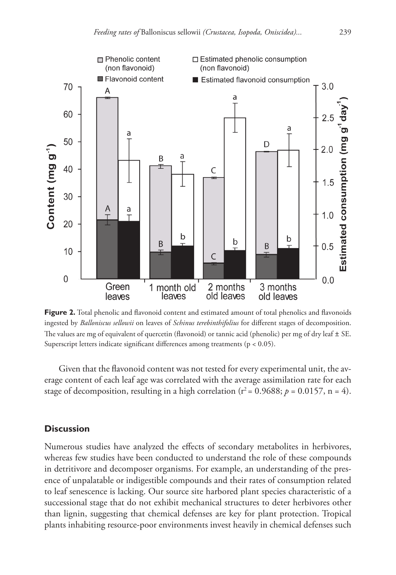

**Figure 2.** Total phenolic and flavonoid content and estimated amount of total phenolics and flavonoids ingested by *Balloniscus sellowii* on leaves of *Schinus terebinthifolius* for different stages of decomposition. The values are mg of equivalent of quercetin (flavonoid) or tannic acid (phenolic) per mg of dry leaf ± SE. Superscript letters indicate significant differences among treatments (p < 0.05).

Given that the flavonoid content was not tested for every experimental unit, the average content of each leaf age was correlated with the average assimilation rate for each stage of decomposition, resulting in a high correlation ( $r^2$  = 0.9688;  $p$  = 0.0157, n = 4).

# **Discussion**

Numerous studies have analyzed the effects of secondary metabolites in herbivores, whereas few studies have been conducted to understand the role of these compounds in detritivore and decomposer organisms. For example, an understanding of the presence of unpalatable or indigestible compounds and their rates of consumption related to leaf senescence is lacking. Our source site harbored plant species characteristic of a successional stage that do not exhibit mechanical structures to deter herbivores other than lignin, suggesting that chemical defenses are key for plant protection. Tropical plants inhabiting resource-poor environments invest heavily in chemical defenses such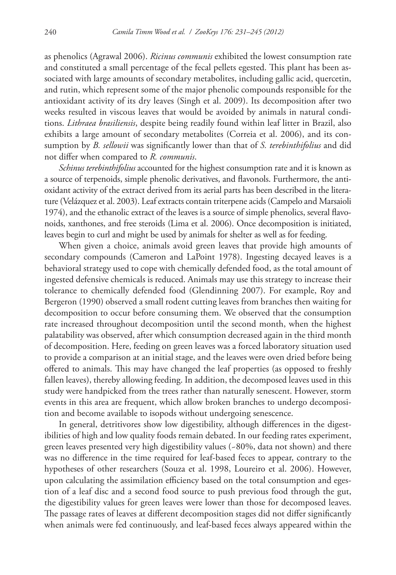as phenolics (Agrawal 2006). *Ricinus communis* exhibited the lowest consumption rate and constituted a small percentage of the fecal pellets egested. This plant has been associated with large amounts of secondary metabolites, including gallic acid, quercetin, and rutin, which represent some of the major phenolic compounds responsible for the antioxidant activity of its dry leaves (Singh et al. 2009). Its decomposition after two weeks resulted in viscous leaves that would be avoided by animals in natural conditions. *Lithraea brasiliensis*, despite being readily found within leaf litter in Brazil, also exhibits a large amount of secondary metabolites (Correia et al. 2006), and its consumption by *B. sellowii* was significantly lower than that of *S. terebinthifolius* and did not differ when compared to *R. communis*.

*Schinus terebinthifolius* accounted for the highest consumption rate and it is known as a source of terpenoids, simple phenolic derivatives, and flavonols. Furthermore, the antioxidant activity of the extract derived from its aerial parts has been described in the literature (Velázquez et al. 2003). Leaf extracts contain triterpene acids (Campelo and Marsaioli 1974), and the ethanolic extract of the leaves is a source of simple phenolics, several flavonoids, xanthones, and free steroids (Lima et al. 2006). Once decomposition is initiated, leaves begin to curl and might be used by animals for shelter as well as for feeding.

When given a choice, animals avoid green leaves that provide high amounts of secondary compounds (Cameron and LaPoint 1978). Ingesting decayed leaves is a behavioral strategy used to cope with chemically defended food, as the total amount of ingested defensive chemicals is reduced. Animals may use this strategy to increase their tolerance to chemically defended food (Glendinning 2007). For example, Roy and Bergeron (1990) observed a small rodent cutting leaves from branches then waiting for decomposition to occur before consuming them. We observed that the consumption rate increased throughout decomposition until the second month, when the highest palatability was observed, after which consumption decreased again in the third month of decomposition. Here, feeding on green leaves was a forced laboratory situation used to provide a comparison at an initial stage, and the leaves were oven dried before being offered to animals. This may have changed the leaf properties (as opposed to freshly fallen leaves), thereby allowing feeding. In addition, the decomposed leaves used in this study were handpicked from the trees rather than naturally senescent. However, storm events in this area are frequent, which allow broken branches to undergo decomposition and become available to isopods without undergoing senescence.

In general, detritivores show low digestibility, although differences in the digestibilities of high and low quality foods remain debated. In our feeding rates experiment, green leaves presented very high digestibility values (~80%, data not shown) and there was no difference in the time required for leaf-based feces to appear, contrary to the hypotheses of other researchers (Souza et al. 1998, Loureiro et al. 2006). However, upon calculating the assimilation efficiency based on the total consumption and egestion of a leaf disc and a second food source to push previous food through the gut, the digestibility values for green leaves were lower than those for decomposed leaves. The passage rates of leaves at different decomposition stages did not differ significantly when animals were fed continuously, and leaf-based feces always appeared within the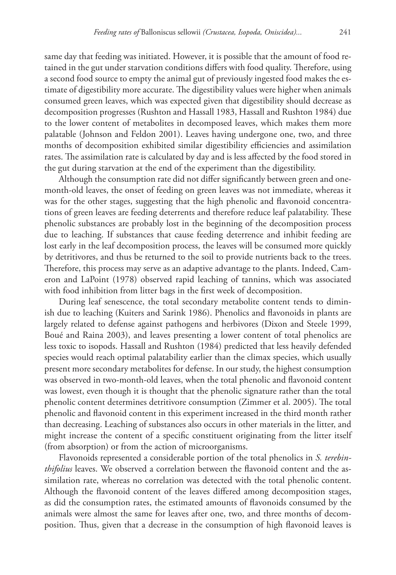same day that feeding was initiated. However, it is possible that the amount of food retained in the gut under starvation conditions differs with food quality. Therefore, using a second food source to empty the animal gut of previously ingested food makes the estimate of digestibility more accurate. The digestibility values were higher when animals consumed green leaves, which was expected given that digestibility should decrease as decomposition progresses (Rushton and Hassall 1983, Hassall and Rushton 1984) due to the lower content of metabolites in decomposed leaves, which makes them more palatable (Johnson and Feldon 2001). Leaves having undergone one, two, and three months of decomposition exhibited similar digestibility efficiencies and assimilation rates. The assimilation rate is calculated by day and is less affected by the food stored in the gut during starvation at the end of the experiment than the digestibility.

Although the consumption rate did not differ significantly between green and onemonth-old leaves, the onset of feeding on green leaves was not immediate, whereas it was for the other stages, suggesting that the high phenolic and flavonoid concentrations of green leaves are feeding deterrents and therefore reduce leaf palatability. These phenolic substances are probably lost in the beginning of the decomposition process due to leaching. If substances that cause feeding deterrence and inhibit feeding are lost early in the leaf decomposition process, the leaves will be consumed more quickly by detritivores, and thus be returned to the soil to provide nutrients back to the trees. Therefore, this process may serve as an adaptive advantage to the plants. Indeed, Cameron and LaPoint (1978) observed rapid leaching of tannins, which was associated with food inhibition from litter bags in the first week of decomposition.

During leaf senescence, the total secondary metabolite content tends to diminish due to leaching (Kuiters and Sarink 1986). Phenolics and flavonoids in plants are largely related to defense against pathogens and herbivores (Dixon and Steele 1999, Boué and Raina 2003), and leaves presenting a lower content of total phenolics are less toxic to isopods. Hassall and Rushton (1984) predicted that less heavily defended species would reach optimal palatability earlier than the climax species, which usually present more secondary metabolites for defense. In our study, the highest consumption was observed in two-month-old leaves, when the total phenolic and flavonoid content was lowest, even though it is thought that the phenolic signature rather than the total phenolic content determines detritivore consumption (Zimmer et al. 2005). The total phenolic and flavonoid content in this experiment increased in the third month rather than decreasing. Leaching of substances also occurs in other materials in the litter, and might increase the content of a specific constituent originating from the litter itself (from absorption) or from the action of microorganisms.

Flavonoids represented a considerable portion of the total phenolics in *S. terebinthifolius* leaves. We observed a correlation between the flavonoid content and the assimilation rate, whereas no correlation was detected with the total phenolic content. Although the flavonoid content of the leaves differed among decomposition stages, as did the consumption rates, the estimated amounts of flavonoids consumed by the animals were almost the same for leaves after one, two, and three months of decomposition. Thus, given that a decrease in the consumption of high flavonoid leaves is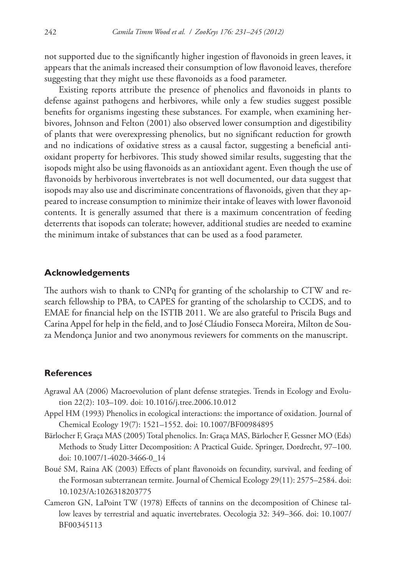not supported due to the significantly higher ingestion of flavonoids in green leaves, it appears that the animals increased their consumption of low flavonoid leaves, therefore suggesting that they might use these flavonoids as a food parameter.

Existing reports attribute the presence of phenolics and flavonoids in plants to defense against pathogens and herbivores, while only a few studies suggest possible benefits for organisms ingesting these substances. For example, when examining herbivores, Johnson and Felton (2001) also observed lower consumption and digestibility of plants that were overexpressing phenolics, but no significant reduction for growth and no indications of oxidative stress as a causal factor, suggesting a beneficial antioxidant property for herbivores. This study showed similar results, suggesting that the isopods might also be using flavonoids as an antioxidant agent. Even though the use of flavonoids by herbivorous invertebrates is not well documented, our data suggest that isopods may also use and discriminate concentrations of flavonoids, given that they appeared to increase consumption to minimize their intake of leaves with lower flavonoid contents. It is generally assumed that there is a maximum concentration of feeding deterrents that isopods can tolerate; however, additional studies are needed to examine the minimum intake of substances that can be used as a food parameter.

## **Acknowledgements**

The authors wish to thank to CNPq for granting of the scholarship to CTW and research fellowship to PBA, to CAPES for granting of the scholarship to CCDS, and to EMAE for financial help on the ISTIB 2011. We are also grateful to Priscila Bugs and Carina Appel for help in the field, and to José Cláudio Fonseca Moreira, Milton de Souza Mendonça Junior and two anonymous reviewers for comments on the manuscript.

## **References**

- Agrawal AA (2006) Macroevolution of plant defense strategies. Trends in Ecology and Evolution 22(2): 103–109. [doi: 10.1016/j.tree.2006.10.012](http://dx.doi.org/10.1016/j.tree.2006.10.012)
- Appel HM (1993) Phenolics in ecological interactions: the importance of oxidation. Journal of Chemical Ecology 19(7): 1521–1552. [doi: 10.1007/BF00984895](http://dx.doi.org/10.1007/BF00984895)
- Bärlocher F, Graça MAS (2005) Total phenolics. In: Graça MAS, Bärlocher F, Gessner MO (Eds) Methods to Study Litter Decomposition: A Practical Guide. Springer, Dordrecht, 97–100. [doi: 10.1007/1-4020-3466-0\\_14](http://dx.doi.org/10.1007/1-4020-3466-0_14)
- Boué SM, Raina AK (2003) Effects of plant flavonoids on fecundity, survival, and feeding of the Formosan subterranean termite. Journal of Chemical Ecology 29(11): 2575–2584. [doi:](http://dx.doi.org/10.1023/A:1026318203775) [10.1023/A:1026318203775](http://dx.doi.org/10.1023/A:1026318203775)
- Cameron GN, LaPoint TW (1978) Effects of tannins on the decomposition of Chinese tallow leaves by terrestrial and aquatic invertebrates. Oecologia 32: 349–366. [doi: 10.1007/](http://dx.doi.org/10.1007/BF00345113) [BF00345113](http://dx.doi.org/10.1007/BF00345113)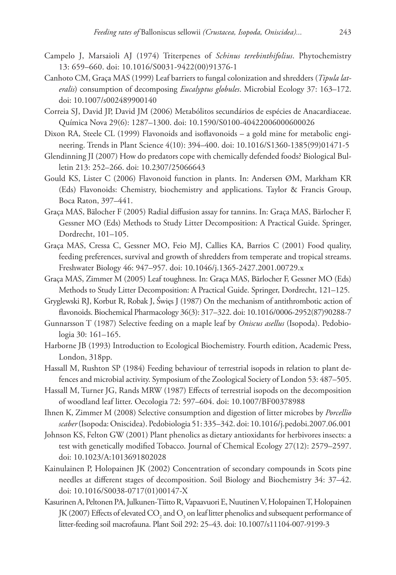- Campelo J, Marsaioli AJ (1974) Triterpenes of *Schinus terebinthifolius*. Phytochemistry 13: 659–660. [doi: 10.1016/S0031-9422\(00\)91376-1](http://dx.doi.org/10.1016/S0031-9422(00)91376-1)
- Canhoto CM, Graça MAS (1999) Leaf barriers to fungal colonization and shredders (*Tipula lateralis*) consumption of decomposing *Eucalyptus globules*. Microbial Ecology 37: 163–172. [doi: 10.1007/s002489900140](http://dx.doi.org/10.1007/s002489900140)
- Correia SJ, David JP, David JM (2006) Metabólitos secundários de espécies de Anacardiaceae. Química Nova 29(6): 1287–1300. [doi: 10.1590/S0100-40422006000600026](http://dx.doi.org/10.1590/S0100-40422006000600026)
- Dixon RA, Steele CL (1999) Flavonoids and isoflavonoids a gold mine for metabolic engineering. Trends in Plant Science 4(10): 394–400. [doi: 10.1016/S1360-1385\(99\)01471-5](http://dx.doi.org/10.1016/S1360-1385(99)01471-5)
- Glendinning JI (2007) How do predators cope with chemically defended foods? Biological Bulletin 213: 252–266. [doi: 10.2307/25066643](http://dx.doi.org/10.2307/25066643)
- Gould KS, Lister C (2006) Flavonoid function in plants. In: Andersen ØM, Markham KR (Eds) Flavonoids: Chemistry, biochemistry and applications. Taylor & Francis Group, Boca Raton, 397–441.
- Graça MAS, Bälocher F (2005) Radial diffusion assay for tannins. In: Graça MAS, Bärlocher F, Gessner MO (Eds) Methods to Study Litter Decomposition: A Practical Guide. Springer, Dordrecht, 101–105.
- Graça MAS, Cressa C, Gessner MO, Feio MJ, Callies KA, Barrios C (2001) Food quality, feeding preferences, survival and growth of shredders from temperate and tropical streams. Freshwater Biology 46: 947–957. [doi: 10.1046/j.1365-2427.2001.00729.x](http://dx.doi.org/10.1046/j.1365-2427.2001.00729.x)
- Graça MAS, Zimmer M (2005) Leaf toughness. In: Graça MAS, Bärlocher F, Gessner MO (Eds) Methods to Study Litter Decomposition: A Practical Guide. Springer, Dordrecht, 121–125.
- Gryglewski RJ, Korbut R, Robak J, Święs J (1987) On the mechanism of antithrombotic action of flavonoids. Biochemical Pharmacology 36(3): 317–322. [doi: 10.1016/0006-2952\(87\)90288-7](http://dx.doi.org/10.1016/0006-2952(87)90288-7)
- Gunnarsson T (1987) Selective feeding on a maple leaf by *Oniscus asellus* (Isopoda). Pedobiologia 30: 161–165.
- Harborne JB (1993) Introduction to Ecological Biochemistry. Fourth edition, Academic Press, London, 318pp.
- Hassall M, Rushton SP (1984) Feeding behaviour of terrestrial isopods in relation to plant defences and microbial activity. Symposium of the Zoological Society of London 53: 487–505.
- Hassall M, Turner JG, Rands MRW (1987) Effects of terrestrial isopods on the decomposition of woodland leaf litter. Oecologia 72: 597–604. [doi: 10.1007/BF00378988](http://dx.doi.org/10.1007/BF00378988)
- Ihnen K, Zimmer M (2008) Selective consumption and digestion of litter microbes by *Porcellio scaber* (Isopoda: Oniscidea). Pedobiologia 51: 335–342. [doi: 10.1016/j.pedobi.2007.06.001](http://dx.doi.org/10.1016/j.pedobi.2007.06.001)
- Johnson KS, Felton GW (2001) Plant phenolics as dietary antioxidants for herbivores insects: a test with genetically modified Tobacco. Journal of Chemical Ecology 27(12): 2579–2597. [doi: 10.1023/A:1013691802028](http://dx.doi.org/10.1023/A:1013691802028)
- Kainulainen P, Holopainen JK (2002) Concentration of secondary compounds in Scots pine needles at different stages of decomposition. Soil Biology and Biochemistry 34: 37–42. [doi: 10.1016/S0038-0717\(01\)00147-X](http://dx.doi.org/10.1016/S0038-0717(01)00147-X)
- Kasurinen A, Peltonen PA, Julkunen-Tiitto R, Vapaavuori E, Nuutinen V, Holopainen T, Holopainen JK (2007) Effects of elevated CO<sub>2</sub> and O<sub>3</sub> on leaf litter phenolics and subsequent performance of litter-feeding soil macrofauna. Plant Soil 292: 25–43. [doi: 10.1007/s11104-007-9199-3](http://dx.doi.org/10.1007/s11104-007-9199-3)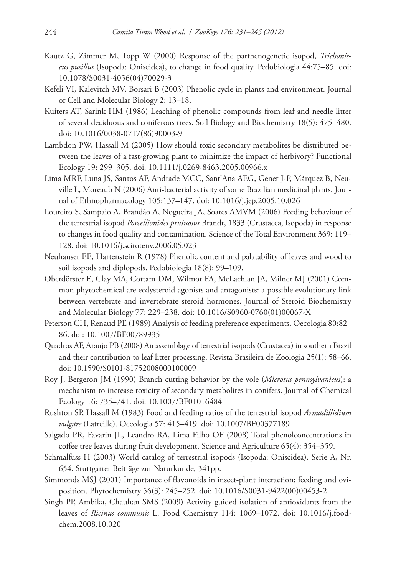- Kautz G, Zimmer M, Topp W (2000) Response of the parthenogenetic isopod, *Trichoniscus pusillus* (Isopoda: Oniscidea), to change in food quality. Pedobiologia 44:75–85. [doi:](http://dx.doi.org/10.1078/S0031-4056(04)70029-3) [10.1078/S0031-4056\(04\)70029-3](http://dx.doi.org/10.1078/S0031-4056(04)70029-3)
- Kefeli VI, Kalevitch MV, Borsari B (2003) Phenolic cycle in plants and environment. Journal of Cell and Molecular Biology 2: 13–18.
- Kuiters AT, Sarink HM (1986) Leaching of phenolic compounds from leaf and needle litter of several deciduous and coniferous trees. Soil Biology and Biochemistry 18(5): 475–480. [doi: 10.1016/0038-0717\(86\)90003-9](http://dx.doi.org/10.1016/0038-0717(86)90003-9)
- Lambdon PW, Hassall M (2005) How should toxic secondary metabolites be distributed between the leaves of a fast-growing plant to minimize the impact of herbivory? Functional Ecology 19: 299–305. [doi: 10.1111/j.0269-8463.2005.00966.x](http://dx.doi.org/10.1111/j.0269-8463.2005.00966.x)
- Lima MRF, Luna JS, Santos AF, Andrade MCC, Sant'Ana AEG, Genet J-P, Márquez B, Neuville L, Moreaub N (2006) Anti-bacterial activity of some Brazilian medicinal plants. Journal of Ethnopharmacology 105:137–147. [doi: 10.1016/j.jep.2005.10.026](http://dx.doi.org/10.1016/j.jep.2005.10.026)
- Loureiro S, Sampaio A, Brandão A, Nogueira JA, Soares AMVM (2006) Feeding behaviour of the terrestrial isopod *Porcellionides pruinosus* Brandt, 1833 (Crustacea, Isopoda) in response to changes in food quality and contamination. Science of the Total Environment 369: 119– 128. [doi: 10.1016/j.scitotenv.2006.05.023](http://dx.doi.org/10.1016/j.scitotenv.2006.05.023)
- Neuhauser EE, Hartenstein R (1978) Phenolic content and palatability of leaves and wood to soil isopods and diplopods. Pedobiologia 18(8): 99–109.
- Oberdörster E, Clay MA, Cottam DM, Wilmot FA, McLachlan JA, Milner MJ (2001) Common phytochemical are ecdysteroid agonists and antagonists: a possible evolutionary link between vertebrate and invertebrate steroid hormones. Journal of Steroid Biochemistry and Molecular Biology 77: 229–238. [doi: 10.1016/S0960-0760\(01\)00067-X](http://dx.doi.org/10.1016/S0960-0760(01)00067-X)
- Peterson CH, Renaud PE (1989) Analysis of feeding preference experiments. Oecologia 80:82– 86. [doi: 10.1007/BF00789935](http://dx.doi.org/10.1007/BF00789935)
- Quadros AF, Araujo PB (2008) An assemblage of terrestrial isopods (Crustacea) in southern Brazil and their contribution to leaf litter processing. Revista Brasileira de Zoologia 25(1): 58–66. [doi: 10.1590/S0101-81752008000100009](http://dx.doi.org/10.1590/S0101-81752008000100009)
- Roy J, Bergeron JM (1990) Branch cutting behavior by the vole (*Microtus pennsylvanicus*): a mechanism to increase toxicity of secondary metabolites in conifers. Journal of Chemical Ecology 16: 735–741. [doi: 10.1007/BF01016484](http://dx.doi.org/10.1007/BF01016484)
- Rushton SP, Hassall M (1983) Food and feeding ratios of the terrestrial isopod *Armadillidium vulgare* (Latreille). Oecologia 57: 415–419. [doi: 10.1007/BF00377189](http://dx.doi.org/10.1007/BF00377189)
- Salgado PR, Favarin JL, Leandro RA, Lima Filho OF (2008) Total phenolconcentrations in coffee tree leaves during fruit development. Science and Agriculture 65(4): 354–359.
- Schmalfuss H (2003) World catalog of terrestrial isopods (Isopoda: Oniscidea). Serie A, Nr. 654. Stuttgarter Beiträge zur Naturkunde, 341pp.
- Simmonds MSJ (2001) Importance of flavonoids in insect-plant interaction: feeding and oviposition. Phytochemistry 56(3): 245–252. [doi: 10.1016/S0031-9422\(00\)00453-2](http://dx.doi.org/10.1016/S0031-9422(00)00453-2)
- Singh PP, Ambika, Chauhan SMS (2009) Activity guided isolation of antioxidants from the leaves of *Ricinus communis* L. Food Chemistry 114: 1069–1072. [doi: 10.1016/j.food](http://dx.doi.org/10.1016/j.foodchem.2008.10.020)[chem.2008.10.020](http://dx.doi.org/10.1016/j.foodchem.2008.10.020)